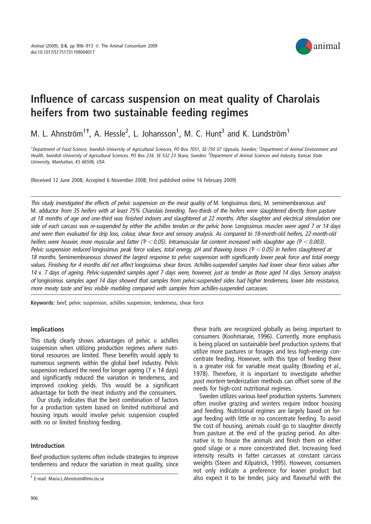

# Influence of carcass suspension on meat quality of Charolais heifers from two sustainable feeding regimes

M. L. Ahnström<sup>1+</sup>, A. Hessle<sup>2</sup>, L. Johansson<sup>1</sup>, M. C. Hunt<sup>3</sup> and K. Lundström<sup>1</sup>

<sup>1</sup>Department of Food Science, Swedish University of Agricultural Sciences, PO Box 7051, SE-750 07 Uppsala, Sweden; <sup>2</sup>Department of Animal Environment and Health, Swedish University of Agricultural Sciences, PO Box 234, SE-532 23 Skara, Sweden; <sup>3</sup>Department of Animal Sciences and Industry, Kansas State University, Manhattan, KS 66506, USA

(Received 12 June 2008; Accepted 6 November 2008; First published online 16 February 2009)

This study investigated the effects of pelvic suspension on the meat quality of M. longissimus dorsi, M. semimembranosus and M. adductor from 35 heifers with at least 75% Charolais breeding. Two-thirds of the heifers were slaughtered directly from pasture at 18 months of age and one-third was finished indoors and slaughtered at 22 months. After slaughter and electrical stimulation one side of each carcass was re-suspended by either the achilles tendon or the pelvic bone. Longissimus muscles were aged <sup>7</sup> or <sup>14</sup> days and were then evaluated for drip loss, colour, shear force and sensory analysis. As compared to 18-month-old heifers, 22-month-old heifers were heavier, more muscular and fatter ( $P < 0.05$ ). Intramuscular fat content increased with slaughter age ( $P < 0.003$ ). Pelvic suspension reduced longissimus peak force values, total energy, pH and thawing losses ( $P < 0.05$ ) in heifers slaughtered at 18 months. Semimembranosus showed the largest response to pelvic suspension with significantly lower peak force and total energy values. Finishing for <sup>4</sup> months did not affect longissimus shear forces. Achilles-suspended samples had lower shear force values after <sup>14</sup> v. <sup>7</sup> days of ageing. Pelvic-suspended samples aged <sup>7</sup> days were, however, just as tender as those aged <sup>14</sup> days. Sensory analysis of longissimus samples aged <sup>14</sup> days showed that samples from pelvic-suspended sides had higher tenderness, lower bite resistance, more meaty taste and less visible marbling compared with samples from achilles-suspended carcasses.

Keywords: beef, pelvic suspension, achilles suspension, tenderness, shear force

## Implications

This study clearly shows advantages of pelvic v. achilles suspension when utilizing production regimes where nutritional resources are limited. These benefits would apply to numerous segments within the global beef industry. Pelvic suspension reduced the need for longer ageing (7 v. 14 days) and significantly reduced the variation in tenderness, and improved cooking yields. This would be a significant advantage for both the meat industry and the consumers.

Our study indicates that the best combination of factors for a production system based on limited nutritional and housing inputs would involve pelvic suspension coupled with no or limited finishing feeding.

# Introduction

Beef production systems often include strategies to improve tenderness and reduce the variation in meat quality, since these traits are recognized globally as being important to consumers (Koohmaraie, 1996). Currently, more emphasis is being placed on sustainable beef production systems that utilize more pastures or forages and less high-energy concentrate feeding. However, with this type of feeding there is a greater risk for variable meat quality (Bowling et al., 1978). Therefore, it is important to investigate whether post mortem tenderization methods can offset some of the needs for high-cost nutritional regimes.

Sweden utilizes various beef production systems. Summers often involve grazing and winters require indoor housing and feeding. Nutritional regimes are largely based on forage feeding with little or no concentrate feeding. To avoid the cost of housing, animals could go to slaughter directly from pasture at the end of the grazing period. An alternative is to house the animals and finish them on either good silage or a more concentrated diet. Increasing feed intensity results in fatter carcasses at constant carcass weights (Steen and Kilpatrick, 1995). However, consumers not only indicate a preference for leaner product but t E-mail: Maria.L.Ahnstrom@lmv.slu.se expect it to be tender, juicy and flavourful with the - E-mail: Maria.L.Ahnstrom@lmv.slu.se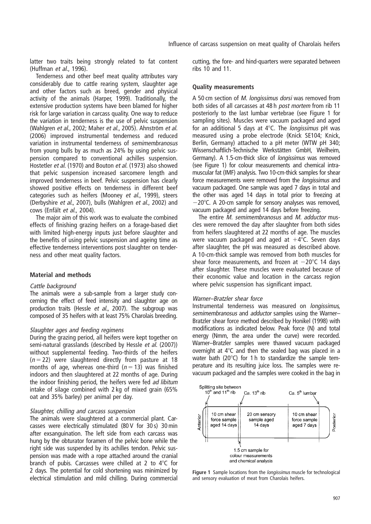latter two traits being strongly related to fat content (Huffman et al., 1996).

Tenderness and other beef meat quality attributes vary considerably due to cattle rearing system, slaughter age and other factors such as breed, gender and physical activity of the animals (Harper, 1999). Traditionally, the extensive production systems have been blamed for higher risk for large variation in carcass quality. One way to reduce the variation in tenderness is the use of pelvic suspension (Wahlgren et al., 2002; Maher et al., 2005). Ahnström et al. (2006) improved instrumental tenderness and reduced variation in instrumental tenderness of semimembranosus from young bulls by as much as 24% by using pelvic suspension compared to conventional achilles suspension. Hostetler et al. (1970) and Bouton et al. (1973) also showed that pelvic suspension increased sarcomere length and improved tenderness in beef. Pelvic suspension has clearly showed positive effects on tenderness in different beef categories such as heifers (Mooney et al., 1999), steers (Derbyshire et al., 2007), bulls (Wahlgren et al., 2002) and cows (Enfält et al., 2004).

The major aim of this work was to evaluate the combined effects of finishing grazing heifers on a forage-based diet with limited high-energy inputs just before slaughter and the benefits of using pelvic suspension and ageing time as effective tenderness interventions post slaughter on tenderness and other meat quality factors.

## Material and methods

### Cattle background

The animals were a sub-sample from a larger study concerning the effect of feed intensity and slaughter age on production traits (Hessle et al., 2007). The subgroup was composed of 35 heifers with at least 75% Charolais breeding.

#### Slaughter ages and feeding regimens

During the grazing period, all heifers were kept together on semi-natural grasslands (described by Hessle et al. (2007)) without supplemental feeding. Two-thirds of the heifers  $(n = 22)$  were slaughtered directly from pasture at 18 months of age, whereas one-third ( $n = 13$ ) was finished indoors and then slaughtered at 22 months of age. During the indoor finishing period, the heifers were fed ad libitum intake of silage combined with 2 kg of mixed grain (65% oat and 35% barley) per animal per day.

### Slaughter, chilling and carcass suspension

The animals were slaughtered at a commercial plant. Carcasses were electrically stimulated (80 V for 30 s) 30 min after exsanguination. The left side from each carcass was hung by the obturator foramen of the pelvic bone while the right side was suspended by its achilles tendon. Pelvic suspension was made with a rope attached around the cranial branch of pubis. Carcasses were chilled at 2 to  $4^{\circ}$ C for 2 days. The potential for cold shortening was minimized by electrical stimulation and mild chilling. During commercial

cutting, the fore- and hind-quarters were separated between ribs 10 and 11.

#### Quality measurements

A 50 cm section of M. longissimus dorsi was removed from both sides of all carcasses at 48 h post mortem from rib 11 posteriorly to the last lumbar vertebrae (see Figure 1 for sampling sites). Muscles were vacuum packaged and aged for an additional 5 days at  $4^{\circ}$ C. The *longissimus* pH was measured using a probe electrode (Knick SE104; Knick, Berlin, Germany) attached to a pH meter (WTW pH 340; Wissenschaftlich-Technische Werkstätten GmbH, Weilheim, Germany). A 1.5-cm-thick slice of longissimus was removed (see Figure 1) for colour measurements and chemical intramuscular fat (IMF) analysis. Two 10-cm-thick samples for shear force measurements were removed from the longissimus and vacuum packaged. One sample was aged 7 days in total and the other was aged 14 days in total prior to freezing at  $-20^{\circ}$ C. A 20-cm sample for sensory analyses was removed. vacuum packaged and aged 14 days before freezing.

The entire *M. semimembranosus* and *M. adductor* muscles were removed the day after slaughter from both sides from heifers slaughtered at 22 months of age. The muscles were vacuum packaged and aged at  $+4^{\circ}$ C. Seven days after slaughter, the pH was measured as described above. A 10-cm-thick sample was removed from both muscles for shear force measurements, and frozen at  $-20^{\circ}$ C 14 days after slaughter. These muscles were evaluated because of their economic value and location in the carcass region where pelvic suspension has significant impact.

#### Warner–Bratzler shear force

Instrumental tenderness was measured on longissimus, semimembranosus and adductor samples using the Warner-Bratzler shear force method described by Honikel (1998) with modifications as indicated below. Peak force (N) and total energy (Nmm, the area under the curve) were recorded. Warner–Bratzler samples were thawed vacuum packaged overnight at  $4^{\circ}$ C and then the sealed bag was placed in a water bath (20 $^{\circ}$ C) for 1 h to standardize the sample temperature and its resulting juice loss. The samples were revacuum packaged and the samples were cooked in the bag in



Figure 1 Sample locations from the *longissimus* muscle for technological and sensory evaluation of meat from Charolais heifers.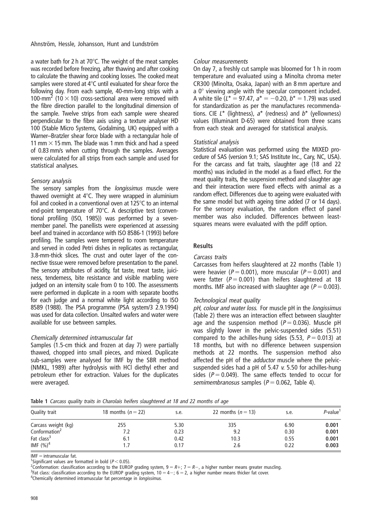Ahnström, Hessle, Johansson, Hunt and Lundström

a water bath for 2 h at  $70^{\circ}$ C. The weight of the meat samples was recorded before freezing, after thawing and after cooking to calculate the thawing and cooking losses. The cooked meat samples were stored at  $4^{\circ}$ C until evaluated for shear force the following day. From each sample, 40-mm-long strips with a 100-mm<sup>2</sup> (10  $\times$  10) cross-sectional area were removed with the fibre direction parallel to the longitudinal dimension of the sample. Twelve strips from each sample were sheared perpendicular to the fibre axis using a texture analyser HD 100 (Stable Micro Systems, Godalming, UK) equipped with a Warner–Bratzler shear force blade with a rectangular hole of 11 mm  $\times$  15 mm. The blade was 1 mm thick and had a speed of 0.83 mm/s when cutting through the samples. Averages were calculated for all strips from each sample and used for statistical analyses.

## Sensory analysis

The sensory samples from the *longissimus* muscle were thawed overnight at  $4^{\circ}$ C. They were wrapped in aluminium foil and cooked in a conventional oven at  $125^{\circ}$ C to an internal end-point temperature of  $70^{\circ}$ C. A descriptive test (conventional profiling (ISO, 1985)) was performed by a sevenmember panel. The panellists were experienced at assessing beef and trained in accordance with ISO 8586-1 (1993) before profiling. The samples were tempered to room temperature and served in coded Petri dishes in replicates as rectangular, 3.8-mm-thick slices. The crust and outer layer of the connective tissue were removed before presentation to the panel. The sensory attributes of acidity, fat taste, meat taste, juiciness, tenderness, bite resistance and visible marbling were judged on an intensity scale from 0 to 100. The assessments were performed in duplicate in a room with separate booths for each judge and a normal white light according to ISO 8589 (1988). The PSA programme (PSA system/3 2.9.1994) was used for data collection. Unsalted wafers and water were available for use between samples.

# Chemically determined intramuscular fat

Samples (1.5-cm thick and frozen at day 7) were partially thawed, chopped into small pieces, and mixed. Duplicate sub-samples were analysed for IMF by the SBR method (NMKL, 1989) after hydrolysis with HCl diethyl ether and petroleum ether for extraction. Values for the duplicates were averaged.

## Colour measurements

On day 7, a freshly cut sample was bloomed for 1 h in room temperature and evaluated using a Minolta chroma meter CR300 (Minolta, Osaka, Japan) with an 8 mm aperture and a  $0^\circ$  viewing angle with the specular component included. A white tile ( $L^* = 97.47$ ,  $a^* = -0.20$ ,  $b^* = 1.79$ ) was used for standardization as per the manufactures recommendations. CIE  $L^*$  (lightness),  $a^*$  (redness) and  $b^*$  (vellowness) values (Illuminant D-65) were obtained from three scans from each steak and averaged for statistical analysis.

## Statistical analysis

Statistical evaluation was performed using the MIXED procedure of SAS (version 9.1; SAS Institute Inc., Cary, NC, USA). For the carcass and fat traits, slaughter age (18 and 22 months) was included in the model as a fixed effect. For the meat quality traits, the suspension method and slaughter age and their interaction were fixed effects with animal as a random effect. Differences due to ageing were evaluated with the same model but with ageing time added (7 or 14 days). For the sensory evaluation, the random effect of panel member was also included. Differences between leastsquares means were evaluated with the pdiff option.

# Results

## Carcass traits

Carcasses from heifers slaughtered at 22 months (Table 1) were heavier ( $P = 0.001$ ), more muscular ( $P = 0.001$ ) and were fatter ( $P = 0.001$ ) than heifers slaughtered at 18 months. IMF also increased with slaughter age ( $P = 0.003$ ).

# Technological meat quality

pH, colour and water loss. For muscle pH in the longissimus (Table 2) there was an interaction effect between slaughter age and the suspension method ( $P = 0.036$ ). Muscle pH was slightly lower in the pelvic-suspended sides (5.51) compared to the achilles-hung sides (5.53,  $P = 0.013$ ) at 18 months, but with no difference between suspension methods at 22 months. The suspension method also affected the pH of the adductor muscle where the pelvicsuspended sides had a pH of 5.47 v. 5.50 for achilles-hung sides ( $P = 0.049$ ). The same effects tended to occur for semimembranosus samples ( $P = 0.062$ , Table 4).

Table 1 Carcass quality traits in Charolais heifers slaughtered at 18 and 22 months of age

| Quality trait             | 18 months $(n=22)$ | s.e. | 22 months $(n=13)$ | s.e. | P-value <sup>1</sup> |
|---------------------------|--------------------|------|--------------------|------|----------------------|
| Carcass weight (kg)       | 255                | 5.30 | 335                | 6.90 | 0.001                |
| Conformation <sup>2</sup> |                    | 0.23 | 9.2                | 0.30 | 0.001                |
| Fat class <sup>3</sup>    | 6.1                | 0.42 | 10.3               | 0.55 | 0.001                |
| IMF $(%)^4$               |                    | 0.17 | 2.6                | 0.22 | 0.003                |

IMF = intramuscular fat.<br><sup>1</sup>Significant values are formatted in bold ( $P < 0.05$ ). Significant values are formatted in bold ( $P < 0.05$ ).<br><sup>2</sup>Conformation: classification according to the EUPO

Conformation: classification according to the EUROP grading system,  $9 = R +$ ;  $7 = R -$ , a higher number means greater muscling.<br><sup>3</sup>Eat classification according to the EUROP grading system,  $10 - 4 -$ ; 6 – 2, a higher number mea

<sup>3</sup>Fat class: classification according to the EUROP grading system,  $10 = 4 - 6 = 2$ , a higher number means thicker fat cover.

<sup>4</sup>Chemically determined intramuscular fat percentage in *longissimus.*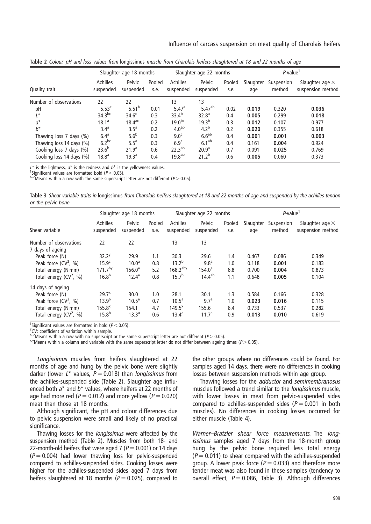|                          | Slaughter age 18 months |                     | Slaughter age 22 months |                       | $P$ -value <sup>1</sup> |                |                  |                      |                                             |
|--------------------------|-------------------------|---------------------|-------------------------|-----------------------|-------------------------|----------------|------------------|----------------------|---------------------------------------------|
| Quality trait            | Achilles<br>suspended   | Pelvic<br>suspended | Pooled<br>s.e.          | Achilles<br>suspended | Pelvic<br>suspended     | Pooled<br>s.e. | Slaughter<br>age | Suspension<br>method | Slaughter age $\times$<br>suspension method |
| Number of observations   | 22                      | 22                  |                         | 13                    | 13                      |                |                  |                      |                                             |
| pH                       | 5.53 <sup>c</sup>       | 5.51 <sup>b</sup>   | 0.01                    | 5.47a                 | 5.47 <sup>ab</sup>      | 0.02           | 0.019            | 0.320                | 0.036                                       |
| $L^*$                    | 34.3 <sup>bc</sup>      | 34.6 <sup>c</sup>   | 0.3                     | $33.4^{b}$            | 32.8 <sup>a</sup>       | 0.4            | 0.005            | 0.299                | 0.018                                       |
| $a^*$                    | $18.1^a$                | $18.4^{\text{ac}}$  | 0.2                     | $19.0^{bc}$           | $19.3^{b}$              | 0.3            | 0.012            | 0.107                | 0.977                                       |
| $b^*$                    | 3.4 <sup>a</sup>        | $3.5^{\circ}$       | 0.2                     | 4.0 <sup>ab</sup>     | 4.2 <sup>b</sup>        | 0.2            | 0.020            | 0.355                | 0.618                                       |
| Thawing loss 7 days (%)  | 6.4 <sup>a</sup>        | 5.6 <sup>b</sup>    | 0.3                     | 9.0 <sup>c</sup>      | 6.6 <sup>ab</sup>       | 0.4            | 0.001            | 0.001                | 0.003                                       |
| Thawing loss 14 days (%) | $6.2^{bc}$              | 5.5 <sup>a</sup>    | 0.3                     | 6.9 <sup>c</sup>      | 6.1 <sup>ab</sup>       | 0.4            | 0.161            | 0.004                | 0.924                                       |
| Cooking loss 7 days (%)  | $23.6^{b}$              | 21.9 <sup>a</sup>   | 0.6                     | 22.3 <sup>ab</sup>    | 20.9 <sup>a</sup>       | 0.7            | 0.091            | 0.025                | 0.769                                       |
| Cooking loss 14 days (%) | 18.8 <sup>a</sup>       | 19.3 <sup>a</sup>   | 0.4                     | 19.8 <sup>ab</sup>    | $21.2^{b}$              | 0.6            | 0.005            | 0.060                | 0.373                                       |

Table 2 Colour, pH and loss values from longissimus muscle from Charolais heifers slaughtered at 18 and 22 months of age

 $L^*$  is the lightness,  $a^*$  is the redness and  $b^*$  is the yellowness values.<br><sup>1</sup>Significant values are formatted bold (P < 0.05).

 $A^{-c}$  Means within a row with the same superscript letter are not different (P > 0.05).

Table 3 Shear variable traits in longissimus from Charolais heifers slaughtered at 18 and 22 months of age and suspended by the achilles tendon or the pelvic bone

|                                            | Slaughter age 18 months |                     | Slaughter age 22 months |                              |                     | $P$ -value     |                  |                      |                                             |
|--------------------------------------------|-------------------------|---------------------|-------------------------|------------------------------|---------------------|----------------|------------------|----------------------|---------------------------------------------|
| Shear variable                             | Achilles<br>suspended   | Pelvic<br>suspended | Pooled<br>s.e.          | <b>Achilles</b><br>suspended | Pelvic<br>suspended | Pooled<br>s.e. | Slaughter<br>age | Suspension<br>method | Slaughter age $\times$<br>suspension method |
| Number of observations<br>7 days of ageing | 22                      | 22                  |                         | 13                           | 13                  |                |                  |                      |                                             |
| Peak force (N)                             | 32.2 <sup>y</sup>       | 29.9                | 1.1                     | 30.3                         | 29.6                | 1.4            | 0.467            | 0.086                | 0.349                                       |
| Peak force $(CV^2, %$                      | 15.9 <sup>c</sup>       | 10.0 <sup>a</sup>   | 0.8                     | $13.2^{b}$                   | 9.8 <sup>a</sup>    | 1.0            | 0.118            | 0.001                | 0.183                                       |
| Total energy (N mm)                        | 171.7 <sup>by</sup>     | $156.0^{\circ}$     | 5.2                     | $168.2$ <sup>aby</sup>       | $154.0^{\circ}$     | 6.8            | 0.700            | 0.004                | 0.873                                       |
| Total energy $(CV^2, \frac{9}{6})$         | 16.8 <sup>b</sup>       | $12.4^{\circ}$      | 0.8                     | 15.7 <sup>b</sup>            | $14.4^{ab}$         | 1.1            | 0.648            | 0.005                | 0.104                                       |
| 14 days of ageing                          |                         |                     |                         |                              |                     |                |                  |                      |                                             |
| Peak force (N)                             | $29.7^x$                | 30.0                | 1.0                     | 28.1                         | 30.1                | 1.3            | 0.584            | 0.166                | 0.328                                       |
| Peak force $(CV^2, %)$                     | $13.9^{b}$              | 10.5 <sup>a</sup>   | 0.7                     | 10.5 <sup>a</sup>            | 9.7 <sup>a</sup>    | 1.0            | 0.023            | 0.016                | 0.115                                       |
| Total energy (N mm)                        | 155.8 <sup>x</sup>      | 154.1               | 4.7                     | $149.5^{x}$                  | 155.6               | 6.4            | 0.733            | 0.537                | 0.282                                       |
| Total energy $(CV^2, \frac{9}{6})$         | $15.8^{b}$              | 13.3 <sup>a</sup>   | 0.6                     | $13.4^a$                     | 11.7 <sup>a</sup>   | 0.9            | 0.013            | 0.010                | 0.619                                       |

<sup>1</sup>Significant values are formatted in bold ( $P < 0.05$ ). <sup>1</sup>Significant values are formatted in bold (P<0.05).<br><sup>2</sup>CV: coefficient of variation within sample.

a–cMeans within a row with no superscript or the same superscript letter are not different (P > 0.05).<br><sup>x,y</sup>Means within a column and variable with the same superscript letter do not differ between ageing times (P > 0.05)

Longissimus muscles from heifers slaughtered at 22 months of age and hung by the pelvic bone were slightly darker (lower  $L^*$  values,  $P = 0.018$ ) than *longissimus* from the achilles-suspended side (Table 2). Slaughter age influenced both  $a^*$  and  $b^*$  values, where heifers at 22 months of age had more red ( $P = 0.012$ ) and more yellow ( $P = 0.020$ ) meat than those at 18 months.

Although significant, the pH and colour differences due to pelvic suspension were small and likely of no practical significance.

Thawing losses for the longissimus were affected by the suspension method (Table 2). Muscles from both 18- and 22-month-old heifers that were aged 7 ( $P = 0.001$ ) or 14 days  $(P = 0.004)$  had lower thawing loss for pelvic-suspended compared to achilles-suspended sides. Cooking losses were higher for the achilles-suspended sides aged 7 days from heifers slaughtered at 18 months ( $P = 0.025$ ), compared to the other groups where no differences could be found. For samples aged 14 days, there were no differences in cooking losses between suspension methods within age group.

Thawing losses for the *adductor* and semimembranosus muscles followed a trend similar to the longissimus muscle, with lower losses in meat from pelvic-suspended sides compared to achilles-suspended sides ( $P = 0.001$  in both muscles). No differences in cooking losses occurred for either muscle (Table 4).

Warner–Bratzler shear force measurements. The longissimus samples aged 7 days from the 18-month group hung by the pelvic bone required less total energy  $(P = 0.011)$  to shear compared with the achilles-suspended group. A lower peak force ( $P = 0.033$ ) and therefore more tender meat was also found in these samples (tendency to overall effect,  $P = 0.086$ , Table 3). Although differences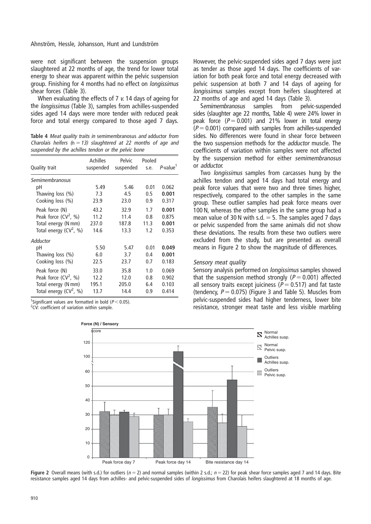were not significant between the suspension groups slaughtered at 22 months of age, the trend for lower total energy to shear was apparent within the pelvic suspension group. Finishing for 4 months had no effect on longissimus shear forces (Table 3).

When evaluating the effects of 7 v. 14 days of ageing for the longissimus (Table 3), samples from achilles-suspended sides aged 14 days were more tender with reduced peak force and total energy compared to those aged 7 days.

Table 4 Meat quality traits in semimembranosus and adductor from Charolais heifers ( $n = 13$ ) slaughtered at 22 months of age and suspended by the achilles tendon or the pelvic bone

| Quality trait                                          | Achilles<br>suspended | Pelvic<br>suspended | Pooled<br>s.e.     | P-value <sup>1</sup>    |
|--------------------------------------------------------|-----------------------|---------------------|--------------------|-------------------------|
| Semimembranosus<br>рH                                  | 5.49                  | 5.46                | 0.01               | 0.062                   |
| Thawing loss $(\%)$                                    | 7.3                   | 4.5                 | 0.5                | 0.001                   |
| Cooking loss (%)                                       | 23.9                  | 23.0                | 0.9                | 0.317                   |
| Peak force (N)                                         | 43.2                  | 32.9                | 1.7                | 0.001                   |
| Peak force $(CV^2, %)$                                 | 11.2                  | 11.4                | 0.8                | 0.875                   |
| Total energy (N mm)                                    | 237.0                 | 187.8               | 11.3               | 0.001                   |
| Total energy $(CV^2, %)$                               | 14.6                  | 13.3                | 1.2                | 0.353                   |
| Adductor<br>рH<br>Thawing loss (%)<br>Cooking loss (%) | 5.50<br>6.0<br>22.5   | 5.47<br>3.7<br>23.7 | 0.01<br>0.4<br>0.7 | 0.049<br>0.001<br>0.183 |
| Peak force (N)                                         | 33.0                  | 35.8                | 1.0                | 0.069                   |
| Peak force $(CV^2, %$                                  | 12.2                  | 12.0                | 0.8                | 0.902                   |
| Total energy (N mm)                                    | 195.1                 | 205.0               | 6.4                | 0.103                   |
| Total energy $(CV^2, %)$                               | 13.7                  | 14.4                | 0.9                | 0.414                   |

<sup>1</sup>Significant values are formatted in bold ( $P < 0.05$ ).

 $2CV$ : coefficient of variation within sample.

However, the pelvic-suspended sides aged 7 days were just as tender as those aged 14 days. The coefficients of variation for both peak force and total energy decreased with pelvic suspension at both 7 and 14 days of ageing for longissimus samples except from heifers slaughtered at 22 months of age and aged 14 days (Table 3).

Semimembranosus samples from pelvic-suspended sides (slaughter age 22 months, Table 4) were 24% lower in peak force  $(P = 0.001)$  and 21% lower in total energy  $(P = 0.001)$  compared with samples from achilles-suspended sides. No differences were found in shear force between the two suspension methods for the adductor muscle. The coefficients of variation within samples were not affected by the suspension method for either semimembranosus or adductor.

Two *longissimus* samples from carcasses hung by the achilles tendon and aged 14 days had total energy and peak force values that were two and three times higher, respectively, compared to the other samples in the same group. These outlier samples had peak force means over 100 N, whereas the other samples in the same group had a mean value of 30 N with s.d.  $=$  5. The samples aged 7 days or pelvic suspended from the same animals did not show these deviations. The results from these two outliers were excluded from the study, but are presented as overall means in Figure 2 to show the magnitude of differences.

### Sensory meat quality

Sensory analysis performed on longissimus samples showed that the suspension method strongly ( $P = 0.001$ ) affected all sensory traits except juiciness ( $P = 0.517$ ) and fat taste (tendency,  $P = 0.075$ ) (Figure 3 and Table 5). Muscles from pelvic-suspended sides had higher tenderness, lower bite resistance, stronger meat taste and less visible marbling



Figure 2 Overall means (with s.d.) for outliers ( $n = 2$ ) and normal samples (within 2 s.d.;  $n = 22$ ) for peak shear force samples aged 7 and 14 days. Bite resistance samples aged 14 days from achilles- and pelvic-suspended sides of longissimus from Charolais heifers slaughtered at 18 months of age.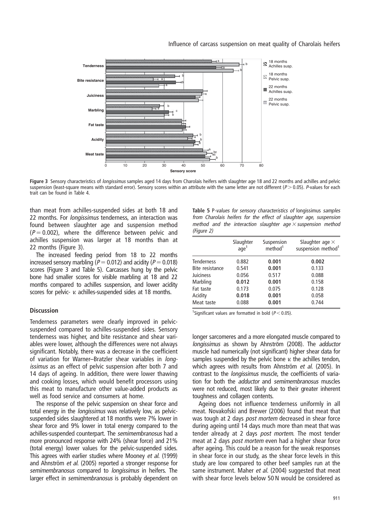

Figure 3 Sensory characteristics of *longissimus* samples aged 14 days from Charolais heifers with slaughter age 18 and 22 months and achilles and pelvic suspension (least-square means with standard error). Sensory scores within an attribute with the same letter are not different ( $P > 0.05$ ). P-values for each trait can be found in Table 4.

than meat from achilles-suspended sides at both 18 and 22 months. For *longissimus* tenderness, an interaction was found between slaughter age and suspension method  $(P = 0.002)$ , where the difference between pelvic and achilles suspension was larger at 18 months than at 22 months (Figure 3).

The increased feeding period from 18 to 22 months increased sensory marbling ( $P = 0.012$ ) and acidity ( $P = 0.018$ ) scores (Figure 3 and Table 5). Carcasses hung by the pelvic bone had smaller scores for visible marbling at 18 and 22 months compared to achilles suspension, and lower acidity scores for pelvic- v. achilles-suspended sides at 18 months.

## **Discussion**

Tenderness parameters were clearly improved in pelvicsuspended compared to achilles-suspended sides. Sensory tenderness was higher, and bite resistance and shear variables were lower, although the differences were not always significant. Notably, there was a decrease in the coefficient of variation for Warner–Bratzler shear variables in longissimus as an effect of pelvic suspension after both 7 and 14 days of ageing. In addition, there were lower thawing and cooking losses, which would benefit processors using this meat to manufacture other value-added products as well as food service and consumers at home.

The response of the pelvic suspension on shear force and total energy in the *longissimus* was relatively low, as pelvicsuspended sides slaughtered at 18 months were 7% lower in shear force and 9% lower in total energy compared to the achilles-suspended counterpart. The semimembranosus had a more pronounced response with 24% (shear force) and 21% (total energy) lower values for the pelvic-suspended sides. This agrees with earlier studies where Mooney et al. (1999) and Ahnström et al. (2005) reported a stronger response for semimembranosus compared to *longissimus* in heifers. The larger effect in semimembranosus is probably dependent on

| Table 5 P-values for sensory characteristics of longissimus samples |
|---------------------------------------------------------------------|
| from Charolais heifers for the effect of slaughter age, suspension  |
| method and the interaction slaughter age $\times$ suspension method |
| (Figure 2)                                                          |

|                   | Slaughter<br>aqe <sup>1</sup> | Suspension<br>method <sup>1</sup> | Slaughter age $\times$<br>suspension method <sup>1</sup> |
|-------------------|-------------------------------|-----------------------------------|----------------------------------------------------------|
| <b>Tenderness</b> | 0.882                         | 0.001                             | 0.002                                                    |
| Bite resistance   | 0.541                         | 0.001                             | 0.133                                                    |
| Juiciness         | 0.056                         | 0.517                             | 0.088                                                    |
| Marbling          | 0.012                         | 0.001                             | 0.158                                                    |
| Fat taste         | 0.173                         | 0.075                             | 0.128                                                    |
| Acidity           | 0.018                         | 0.001                             | 0.058                                                    |
| Meat taste        | 0.088                         | 0.001                             | 0.744                                                    |
|                   |                               |                                   |                                                          |

<sup>1</sup>Significant values are formatted in bold ( $P < 0.05$ ).

longer sarcomeres and a more elongated muscle compared to longissimus as shown by Ahnström (2008). The *adductor* muscle had numerically (not significant) higher shear data for samples suspended by the pelvic bone v. the achilles tendon, which agrees with results from Ahnström et al. (2005). In contrast to the longissimus muscle, the coefficients of variation for both the *adductor* and semimembranosus muscles were not reduced, most likely due to their greater inherent toughness and collagen contents.

Ageing does not influence tenderness uniformly in all meat. Novakofski and Brewer (2006) found that meat that was tough at 2 days *post mortem* decreased in shear force during ageing until 14 days much more than meat that was tender already at 2 days post mortem. The most tender meat at 2 days post mortem even had a higher shear force after ageing. This could be a reason for the weak responses in shear force in our study, as the shear force levels in this study are low compared to other beef samples run at the same instrument. Maher et al. (2004) suggested that meat with shear force levels below 50 N would be considered as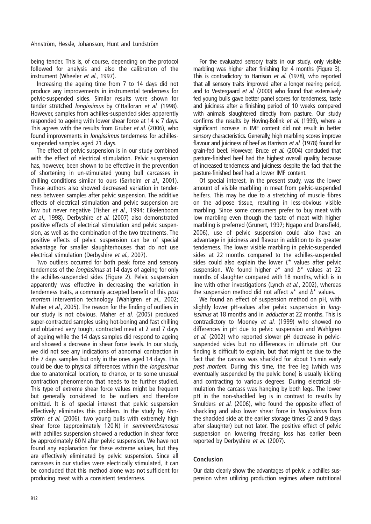being tender. This is, of course, depending on the protocol followed for analysis and also the calibration of the instrument (Wheeler et al., 1997).

Increasing the ageing time from 7 to 14 days did not produce any improvements in instrumental tenderness for pelvic-suspended sides. Similar results were shown for tender stretched longissimus by O'Halloran et al. (1998). However, samples from achilles-suspended sides apparently responded to ageing with lower shear force at 14 v. 7 days. This agrees with the results from Gruber et al. (2006), who found improvements in *longissimus* tenderness for achillessuspended samples aged 21 days.

The effect of pelvic suspension is in our study combined with the effect of electrical stimulation. Pelvic suspension has, however, been shown to be effective in the prevention of shortening in un-stimulated young bull carcasses in chilling conditions similar to ours (Sørheim et al., 2001). These authors also showed decreased variation in tenderness between samples after pelvic suspension. The additive effects of electrical stimulation and pelvic suspension are low but never negative (Fisher et al., 1994; Eikelenboom et al., 1998). Derbyshire et al. (2007) also demonstrated positive effects of electrical stimulation and pelvic suspension, as well as the combination of the two treatments. The positive effects of pelvic suspension can be of special advantage for smaller slaughterhouses that do not use electrical stimulation (Derbyshire et al., 2007).

Two outliers occurred for both peak force and sensory tenderness of the longissimus at 14 days of ageing for only the achilles-suspended sides (Figure 2). Pelvic suspension apparently was effective in decreasing the variation in tenderness traits, a commonly accepted benefit of this post mortem intervention technology (Wahlgren et al., 2002; Maher et al., 2005). The reason for the finding of outliers in our study is not obvious. Maher et al. (2005) produced super-contracted samples using hot-boning and fast chilling and obtained very tough, contracted meat at 2 and 7 days of ageing while the 14 days samples did respond to ageing and showed a decrease in shear force levels. In our study, we did not see any indications of abnormal contraction in the 7 days samples but only in the ones aged 14 days. This could be due to physical differences within the longissimus due to anatomical location, to chance, or to some unusual contraction phenomenon that needs to be further studied. This type of extreme shear force values might be frequent but generally considered to be outliers and therefore omitted. It is of special interest that pelvic suspension effectively eliminates this problem. In the study by Ahnström et al. (2006), two young bulls with extremely high shear force (approximately 120 N) in semimembranosus with achilles suspension showed a reduction in shear force by approximately 60 N after pelvic suspension. We have not found any explanation for these extreme values, but they are effectively eliminated by pelvic suspension. Since all carcasses in our studies were electrically stimulated, it can be concluded that this method alone was not sufficient for producing meat with a consistent tenderness.

For the evaluated sensory traits in our study, only visible marbling was higher after finishing for 4 months (Figure 3). This is contradictory to Harrison et al. (1978), who reported that all sensory traits improved after a longer rearing period, and to Vestergaard et al. (2000) who found that extensively fed young bulls gave better panel scores for tenderness, taste and juiciness after a finishing period of 10 weeks compared with animals slaughtered directly from pasture. Our study confirms the results by Hoving-Bolink et al. (1999), where a significant increase in IMF content did not result in better sensory characteristics. Generally, high marbling scores improve flavour and juiciness of beef as Harrison et al. (1978) found for grain-fed beef. However, Bruce et al. (2004) concluded that pasture-finished beef had the highest overall quality because of increased tenderness and juiciness despite the fact that the pasture-finished beef had a lower IMF content.

Of special interest, in the present study, was the lower amount of visible marbling in meat from pelvic-suspended heifers. This may be due to a stretching of muscle fibres on the adipose tissue, resulting in less-obvious visible marbling. Since some consumers prefer to buy meat with low marbling even though the taste of meat with higher marbling is preferred (Grunert, 1997; Ngapo and Dransfield, 2006), use of pelvic suspension could also have an advantage in juiciness and flavour in addition to its greater tenderness. The lower visible marbling in pelvic-suspended sides at 22 months compared to the achilles-suspended sides could also explain the lower  $L^*$  values after pelvic suspension. We found higher  $a^*$  and  $b^*$  values at 22 months of slaughter compared with 18 months, which is in line with other investigations (Lynch et al., 2002), whereas the suspension method did not affect  $a^*$  and  $b^*$  values.

We found an effect of suspension method on pH, with slightly lower pH-values after pelvic suspension in longissimus at 18 months and in *adductor* at 22 months. This is contradictory to Mooney et al. (1999) who showed no differences in pH due to pelvic suspension and Wahlgren et al. (2002) who reported slower pH decrease in pelvicsuspended sides but no differences in ultimate pH. Our finding is difficult to explain, but that might be due to the fact that the carcass was shackled for about 15 min early post mortem. During this time, the free leg (which was eventually suspended by the pelvic bone) is usually kicking and contracting to various degrees. During electrical stimulation the carcass was hanging by both legs. The lower pH in the non-shackled leg is in contrast to results by Smulders et al. (2006), who found the opposite effect of shackling and also lower shear force in longissimus from the shackled side at the earlier storage times (2 and 9 days after slaughter) but not later. The positive effect of pelvic suspension on lowering freezing loss has earlier been reported by Derbyshire et al. (2007).

# Conclusion

Our data clearly show the advantages of pelvic v. achilles suspension when utilizing production regimes where nutritional